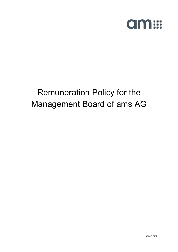

# Remuneration Policy for the Management Board of ams AG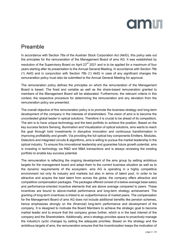

# Preamble

In accordance with Section 78a of the Austrian Stock Corporation Act (AktG), this policy sets out the principles for the remuneration of the Management Board of ams AG. It was established by resolution of the Supervisory Board on April 23<sup>rd</sup> 2021 and is to be applied for a maximum of four years starting after its presentation to the Annual General Meeting. In accordance with Section 78b (1) AktG and in conjunction with Section 78b (1) AktG in case of any significant changes the remuneration policy must also be submitted to the Annual General Meeting for approval.

The remuneration policy defines the principles on which the remuneration of the Management Board is based. The fixed and variable as well as the share-based remuneration granted to members of the Management Board will be elaborated. Furthermore, the relevant criteria in this context, the respective procedure for determining the remuneration and any deviation from the remuneration policy are presented.

The overall objective of this remuneration policy is to promote the business strategy and long-term development of the company in the interests of shareholders. The vision of ams is to become the uncontested global leader in optical solutions. Therefore it is crucial to be ahead of its competitors. The aim is to have unique technology and the best portfolio to achieve the position. Based on the key success factors Sensing, Illumination and Visualization of optical solutions, ams wants to reach the goal through bold investments in disruptive innovation and continuous transformation in improving profitability and growth. Via providing the full optical key components Emitters, Modules, Detectors and integrated circuits & algorithms, ams is willing to pursue the market leadership in the optical industry. To ensure this innovational leadership and guarantee future growth potential, ams is investing in technology via R&D and M&A transactions and is always reviewing the existing portfolio to enable key success potential.

The remuneration is reflecting the ongoing development of the ams group by setting ambitious targets for the management board and adapt them to the current business situation as well as to the dynamic requirements of the ecosystem. ams AG is operating in a highly competitive environment not only its industry and markets but also in terms of talent pool. In order to be attractive and acquire the best talent from across the globe, the company offers attractive and competitive compensation packages. The packages offered consist of a below-average base salary and performance-oriented incentive elements that are above average compared to peers. These incentives are bound to above-market performance and long-term strategy achievement. The granting of long-term incentives is linked to an outperformance of market peers. The compensation for the Management Board of ams AG does not include additional benefits like pension schemes, hence emphasizes strongly on the (financial) long-term performance and development of the company. It is designed to motivate the Board Members to achieve the strategic goal to become market leader and to ensure that the company grows further, which is in the best interest of the company and the Shareholders. Additionally, ams's strategy provides space to proactively manage the industry's cyclic changes by setting the adequate priorities. Based on the strategy and the ambitious targets of ams, the remuneration ensures that the incentivization keeps the motivation of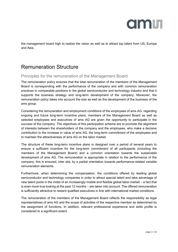

the management board high to realize the vision as well as to attract top talent from US, Europe and Asia.

# Remuneration Structure

#### Principles for the remuneration of the Management Board

The remuneration policy ensures that the total remuneration of the members of the Management Board is corresponding with the performance of the company and with common remuneration practices in comparable positions in the global semiconductor and technology industry and that it supports the business strategy and long-term development of the company. Moreover, the remuneration policy takes into account the size as well as the development of the business of the ams group.

Considering the remuneration and employment conditions of the employees of ams AG, regarding ongoing and future long-term incentive plans, members of the Management Board as well as selected employees and executives of ams AG are given the opportunity to participate in the success of the company. The objectives of this participation scheme are to promote the alignment of interests between the shareholders of the company and the employees, who make a decisive contribution to the increase in value of ams AG, the long-term commitment of the employees and to maintain the attractiveness of ams AG on the labor market.

The structure of these long-term incentive plans is designed over a period of several years to ensure a sufficient incentive for the long-term commitment of all participants (including the members of the Management Board) and a common orientation towards the sustainable development of ams AG. The remuneration is appropriate in relation to the performance of the company; this is ensured, inter alia, by a partial orientation towards performance-related variable remuneration elements.

Furthermore, when determining the compensation, the conditions offered by leading global semiconductor and technology companies in order to attract special talent and take advantage of new talent pools in the midst of an increasingly mobile and flexible global labor market – a fact that is even more true looking at the past 12 months – are taken into account. The offered remuneration is sufficiently attractive to reward qualified executives in line with international market conditions.

The remuneration of the members of the Management Board reflects the responsibility as legal representatives of ams AG and the scope of activities of the respective member as determined by the assignment of functions. In addition, relevant professional experience and skills profile is considered to a significant extent.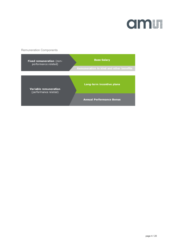

Remuneration Components

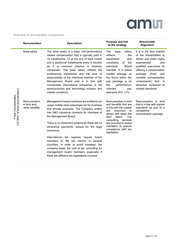

Overview of remuneration components

|                                                              | Remuneration                                  | <b>Description</b>                                                                                                                                                                                                                                                                                                                                                                                                                                                                                                                                                                                         | <b>Purpose and link</b><br>to the strategy                                                                                                                                                                                                                                 | <b>Shareholder</b><br><b>Alignment</b>                                                                                                                                                                                                                                                   |
|--------------------------------------------------------------|-----------------------------------------------|------------------------------------------------------------------------------------------------------------------------------------------------------------------------------------------------------------------------------------------------------------------------------------------------------------------------------------------------------------------------------------------------------------------------------------------------------------------------------------------------------------------------------------------------------------------------------------------------------------|----------------------------------------------------------------------------------------------------------------------------------------------------------------------------------------------------------------------------------------------------------------------------|------------------------------------------------------------------------------------------------------------------------------------------------------------------------------------------------------------------------------------------------------------------------------------------|
| (10-30%* of total remuneration)<br><b>Fixed Compensation</b> | Base salary                                   | The base salary is a fixed, non-performance<br>related compensation that is typically paid in<br>14 installments. 12 at the end of each month<br>and 2 additional installments every 6 months<br>as it is common practice in Austrian<br>companies. The base salary reflects the<br>professional experience and the area of<br>responsibility of the individual member of the<br>Management Board and is in line with<br>comparable international companies in the<br>semiconductor and technology industry and<br>market conditions.                                                                      | The<br>base<br>salary<br>reflects<br>the<br>experience<br>and<br>complexity<br>of<br>the<br>individual<br>Board<br>member. It is below<br>market average as<br>the focus within the<br>pay package is on<br>performance-<br>the<br>oriented<br>pay<br>elements (STI, LTI). | It is in the best interest<br>of the shareholders to<br>attract and retain highly<br>experienced<br>and<br>qualified executives by<br>offering a compensation<br>package<br>(fixed<br>and<br>variable compensation<br>components) that is<br>attractive compared to<br>market standards. |
|                                                              | Remuneration<br>in kind and<br>other benefits | Management board members are entitled to an<br>upper-middle class passenger car for business<br>and private purposes. The Company enters<br>into D&O insurance contracts for members of<br>the Management Board.<br>There is no retirement scheme an there are no<br>severance payments, except for the legal<br>severance.<br>International tax regimes require board<br>members to file tax returns in several<br>countries. In order to avoid mistakes, the<br>company bears the cost of tax consulting for<br>management board members especially if<br>there are different tax legislations involved. | Remuneration in kind<br>and benefits that are<br>in line with the market<br>important<br>are<br>to<br>attract and retain the<br>best<br>talent.<br>Tax<br>consulting<br>services<br>are provided to board<br>members to ensure<br>compliance with tax<br>legislation.      | Remuneration in kind<br>that is in line with market<br>standards as part of a<br>competitive<br>remuneration package.                                                                                                                                                                    |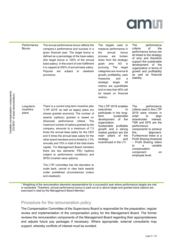

| Performance<br><b>Bonus</b>     | The annual performance bonus reflects the<br>company's performance and success in a<br>given financial year. The target bonus is<br>defined as a percentage of the base salary<br>(the target bonus is 100% of the annual<br>base salary). In the event of over-fulfillment<br>it is capped at 200% of annual base salary.<br>Payouts<br>subject to<br>clawback<br>are<br>provisions.                                                                                                                                                                                                                                                                                                                         | The targets used<br>to<br>measure performance in<br>annual<br>bonus<br>the<br>broken<br>process<br>are<br>down from the strategic<br>AG<br>goals<br>ams<br>İS<br>The<br>pursuing.<br>target<br>categories are revenue &<br>growth, profitability, cash<br>and<br>measures<br>a<br>All<br>strategic<br>target.<br>metrics are quantifiable<br>and no less than 80% will<br>be based on financial<br>metrics. | performance<br>The<br>of<br>criteria<br>the<br>performance bonus are<br>all linked to the strategy<br>of ams and therefore<br>support the sustainable<br>development of the<br>organization in terms of<br>growth and profitability<br>as well as financial<br>stability.                                                                                                     |
|---------------------------------|---------------------------------------------------------------------------------------------------------------------------------------------------------------------------------------------------------------------------------------------------------------------------------------------------------------------------------------------------------------------------------------------------------------------------------------------------------------------------------------------------------------------------------------------------------------------------------------------------------------------------------------------------------------------------------------------------------------|-------------------------------------------------------------------------------------------------------------------------------------------------------------------------------------------------------------------------------------------------------------------------------------------------------------------------------------------------------------------------------------------------------------|-------------------------------------------------------------------------------------------------------------------------------------------------------------------------------------------------------------------------------------------------------------------------------------------------------------------------------------------------------------------------------|
| Long-term<br>incentive<br>plans | There is a current long-term incentive plan<br>"LTIP 2019" as well as legacy plans (no<br>shares granted anymore). The number of<br>awards (options) granted is based on<br>(financial)<br>performance<br>criteria.<br>The<br>maximum number of options granted by the<br>company, amounts to a maximum of 7.5<br>times the annual base salary for the CEO<br>and 5 times the annual base salary for the<br>other board members and is limited to 1.5%<br>annually and 10% in total of the total share<br>capital. For Management Board members<br>there are two elements: PSU (options<br>subject to performance conditions) and<br>SPSU (market value options).<br>The LTIP committee has the discretion to | The LTIP 2019 enables<br>executives<br>to<br>participate in the long-<br>sustainable<br>term<br>of<br>development<br>the<br>organization.<br>Sustainable<br>profitable<br>growth and a strong<br>market position are the<br>main pillars<br>of<br>the<br>strategy<br>and<br>incentivized in the LTI.                                                                                                        | The<br>performance<br>criteria used in the LTIP<br>2019 were chosen in<br>order<br>to<br>align<br>shareholder<br>interest.<br>TSR and EPS are the<br>performance<br>components to achieve<br>this<br>alignment.<br>Furthermore there is a<br>Profit Sharing threshold<br>- Profit Sharing refers<br>variable<br>a<br>to<br>compensation<br>component<br>on<br>employee level. |

\* Weighting of the remuneration elements representative for a successful year where performance targets are met or exceeded. Therefore, annual performance bonus is paid out at or above target and granted stock options are exercised in total by the Management Board Member.

#### Procedure for the remuneration policy

and clawback).

scale back, cancel or claw back awards under predefined circumstances (malus

The Compensation Committee of the Supervisory Board is responsible for the preparation, regular review and implementation of the compensation policy for the Management Board. The former reviews the remuneration components of the Management Board regarding their appropriateness and adjusts future pay packages if necessary. Where appropriate, external consultants may support, whereby conflicts of interest must be avoided.

page 6 / 20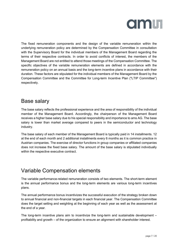

The fixed remuneration components and the design of the variable remuneration within the underlying remuneration policy are determined by the Compensation Committee in consultation with the Supervisory Board for the individual members of the Management Board regarding the terms of their respective contracts. In order to avoid conflicts of interest, the members of the Management Board are not entitled to attend those meetings of the Compensation Committee. The specific objectives of the variable remuneration elements are defined in accordance with the remuneration policy on an annual basis and the long-term incentive plans in accordance with their duration. These factors are stipulated for the individual members of the Management Board by the Compensation Committee and the Committee for Long-term Incentive Plan ("LTIP Committee") respectively.

# Base salary

The base salary reflects the professional experience and the area of responsibility of the individual member of the Management Board. Accordingly, the chairperson of the Management Board receives a higher base salary due to his special responsibility and importance to ams AG. The base salary is lower than market average compared to peers in the semiconductor and technology industry.

The base salary of each member of the Management Board is typically paid in 14 installments. 12 at the end of each month and 2 additional installments every 6 months as it is common practice in Austrian companies. The exercise of director functions in group companies or affiliated companies does not increase the fixed base salary. The amount of the base salary is stipulated individually within the respective executive contract.

# Variable Compensation elements

The variable performance-related remuneration consists of two elements. The short-term element is the annual performance bonus and the long-term elements are various long-term incentives plans.

The annual performance bonus incentivizes the successful execution of the strategy broken down to annual financial and non-financial targets in each financial year. The Compensation Committee does the target setting and weighting at the beginning of each year as well as the assessment at the end of a year.

The long-term incentive plans aim to incentivize the long-term and sustainable development – profitability and growth – of the organization to ensure an alignment with shareholder interest.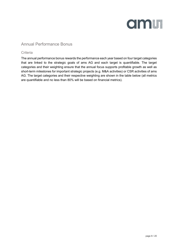

#### Annual Performance Bonus

#### **Criteria**

The annual performance bonus rewards the performance each year based on four target categories that are linked to the strategic goals of ams AG and each target is quantifiable. The target categories and their weighting ensure that the annual focus supports profitable growth as well as short-term milestones for important strategic projects (e.g. M&A activities) or CSR activities of ams AG. The target categories and their respective weighting are shown in the table below (all metrics are quantifiable and no less than 80% will be based on financial metrics).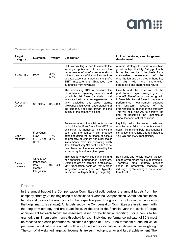

Overview of annual performance bonus criteria

| <b>Target</b><br>category | <b>Examples</b>                                           | Weight         | <b>Description</b>                                                                                                                                                                                                                                                                                                                                                                                                        | Link to the strategy and long-term<br>development                                                                                                                                                                                                                                                                                                                                                              |
|---------------------------|-----------------------------------------------------------|----------------|---------------------------------------------------------------------------------------------------------------------------------------------------------------------------------------------------------------------------------------------------------------------------------------------------------------------------------------------------------------------------------------------------------------------------|----------------------------------------------------------------------------------------------------------------------------------------------------------------------------------------------------------------------------------------------------------------------------------------------------------------------------------------------------------------------------------------------------------------|
| Profitability             | EBIT                                                      | $30% -$<br>50% | EBIT (or similar) is used to evaluate the<br>earnings potential. It shows the<br>performance of ams' core operations<br>without the costs of the capital structure<br>and tax expenses impacting the profit.<br>EBIT measurement: Expenses are<br>subtracted from revenues                                                                                                                                                | A main strategic focus is to combine<br>growth with profitability. Being profitable<br>is on the one hand the basis for a<br>sustainable<br>development<br>of the<br>organization and on the other hand key<br>align<br>with<br>the<br>shareholder<br>to<br>perspective and shareholder return.                                                                                                                |
| Revenue &<br>Growth       | <b>Net Sales</b>                                          | $0\% - 40\%$   | The underlying KPI to measure the<br>performance regarding revenue and<br>growth is Net Sales (or similar). Net<br>sales are the total revenue generated by<br>ams, excluding any sales returns,<br>allowances. It gives an understanding of<br>the company's top line growth and the<br>quality of the company's sales.                                                                                                  | Growth and the extension of the<br>portfolio are major strategic goals of<br>ams AG. Therefore focusing on growth<br>in financials like Net Sales in the annual<br>performance measurement supports<br>of<br>long-term<br>success<br>the<br>the<br>organization as defined in the strategy.<br>This will help ams AG to achieve the<br>goal of becoming the uncontested<br>global leader in optical solutions. |
| Cash<br>measure           | Free Cash<br><b>Flow</b><br>(FCF), Net<br>Debt            | $10% -$<br>30% | To measure ams' financial performance<br>or liquidity the Free Cash Flow (FCF) -<br>or similar - is measured. It shows the<br>cash that the company can produce<br>after deducting the purchase of assets<br>as property, equipment and other major<br>investments from its operating cash<br>flow. Alternatively Net debt is a KPI to be<br>used based on the focus defined by the<br>supervisory board in a given year. | Liquidity builds the sound basis and<br>enables ams AG to pursue its strategic<br>goals like making bold investments in<br>disruptive innovations and technologies<br>via R&D and M&A transactions.                                                                                                                                                                                                            |
| Strategic<br>measure      | CSR, M&A<br>transaction.<br>Post<br>Merger<br>Integration | 0% - 20%       | This category may include financial and<br>non-financial performance indicators.<br>Examples are an increase in efficiency,<br>M&A transaction deals or Post Merger<br>Integration efforts (that are typically<br>milestones of larger strategic projects).                                                                                                                                                               | Being agile and flexible is key in the fast-<br>paced environment ams is operating in.<br>ams' strategy<br>provides<br>Therefore.<br>proactively manage the<br>space to<br>industry's cyclic changes on a short-<br>term level.                                                                                                                                                                                |

#### Process

In the annual budget the Compensation Committee directly derives the annual targets from the company strategy. At the beginning of each financial year the Compensation Committee sets those targets and defines the weightings for the respective year. The guiding structure in this process is the target matrix (as shown). All targets set by the Compensation Committee are in alignment with the long-term strategy and are quantifiable. At the end of the financial year the levels of target achievement for each target are assessed based on the financial reporting. For a bonus to be granted, a minimum performance threshold for each individual performance indicator of 80% must be reached and each performance indicator is capped at 120%. If the threshold of one individual performance indicator is reached it will be included in the calculation with its respective weighting. The sum of all weighted target achievements are summed up to an overall target achievement. The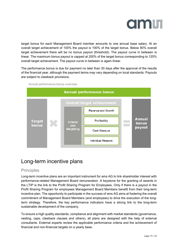

target bonus for each Management Board member amounts to one annual base salary. At an overall target achievement of 100% the payout is 100% of the target bonus. Below 80% overall target achievement there will be no bonus payout (threshold). The payout curve in between is linear. The maximum bonus payout is capped at 200% of the target bonus corresponding to 120% overall target achievement. The payout curve in between is again linear.

The performance bonus is due for payment no later than 30 days after the approval of the results of the financial year, although the payment terms may vary depending on local standards. Payouts are subject to clawback provisions.



Annual performance bonus overview

## Long-term incentive plans

#### **Principles**

Long-term incentive plans are an important instrument for ams AG to link shareholder interest with performance-related Management Board remuneration. A keystone for the granting of awards in the LTIP is the link to the Profit Sharing Program for Employees. Only if there is a payout in the Profit Sharing Program for employees Management Board Members benefit from their long-term incentive plan. The opportunity to participate in the success of ams AG aims at fostering the overall commitment of Management Board Members (and employees) to drive the execution of the longterm strategy. Therefore, the key performance indicators have a strong link to the long-term sustainable development of the company.

To ensure a high quality standards, compliance and alignment with market standards (governance, vesting, caps, clawback clauses and others), all plans are designed with the help of external consultants. External experts review the applicable performance criteria and the achievement of financial and non-financial targets on a yearly base.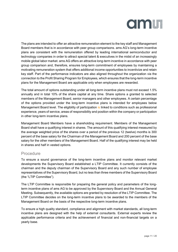

The plans are intended to offer an attractive remuneration element to the key staff and Management Board members that is in accordance with peer group comparisons. ams AG's long-term incentive plans are consistent with the remuneration offered by leading international semiconductor and technology companies in order to attract special talent & executives in the midst of an increasingly mobile global labor market. ams AG offers an attractive long-term incentive in accordance with peer group comparison and, therefore, ensures long-term commitment of employees by maintaining a motivating remuneration system that offers additional income opportunities to incentivize and retain key staff. Part of the performance indicators are also aligned throughout the organization via the connection to the Profit Sharing Program for Employees, which ensures that the long-term incentive plans for the Management Board are applicable only when employees are rewarded.

The total amount of options outstanding under all long-term incentive plans must not exceed 1.5% annually and in total 10% of the share capital at any time. Share options a granted to selected members of the Management Board, senior managers and other employees. A certain percentage of the options provided under the long-term incentive plans is intended for employees below Management Board level. The eligibility of participation is linked to conditions such as professional experience, years of service, areas of responsibility and position within the company or participation in other long-term incentive plans.

Management Board Members have a shareholding requirement. Members of the Management Board shall have a qualifying interest in shares. The amount of this qualifying interest measured by the average weighted price of the shares over a period of the previous 12 (twelve) months is 300 percent of the base salary for the Chairman of the Management Board and 200 percent of the base salary for the other members of the Management Board. Half of the qualifying interest may be held in shares and half in vested options.

#### **Procedure**

To ensure a sound governance of the long-term incentive plans and monitor relevant market developments the Supervisory Board established a LTIP Committee. It currently consists of the chairman and the deputy chairman of the Supervisory Board and any such number of employee representatives of the Supervisory Board, but no less than three members of the Supervisory Board (the "LTIP Committee").

The LTIP Committee is responsible for preparing the general policy and parameters of the longterm incentive plans of ams AG to be approved by the Supervisory Board and the Annual General Meeting. Subsequently, the available options are granted by resolution of the LTIP Committee. The LTIP Committee decides on the long-term incentive plans to be awarded to the members of the Management Board on the basis of the respective long-term incentive plans.

To ensure a high quality standard, compliance and alignment with market standards, all long-term incentive plans are designed with the help of external consultants. External experts review the applicable performance criteria and the achievement of financial and non-financial targets on a yearly base.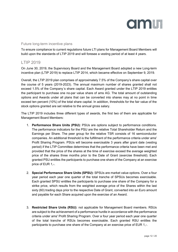

#### Future long-term incentive plans

To ensure compliance to current regulations future LTI plans for Management Board Members will build upon the standards of LTIP 2019 and will foresee a vesting period of at least 4 years.

#### LTIP 2019

On June 30, 2019, the Supervisory Board and the Management Board adopted a new Long-term incentive plan (LTIP 2019) to replace LTIP 2014, which became effective on September 9, 2019.

Overall, the LTIP 2019 plan comprises of approximately 7.5% of the Company's share capital over the course of 5 years (2019-2023). The annual maximum number of shares granted shall not exceed 1.5% of the Company´s share capital. Each Award granted under the LTIP 2019 entitles the participant to purchase one no-par value share of ams AG. The total amount of outstanding options and Awards under all plans that can be converted into shares may at no point in time exceed ten percent (10%) of the total share capital. In addition, thresholds for the fair value of the stock options granted are set relative to the annual gross salary.

The LTIP 2019 includes three different types of awards, the first two of them are applicable for Management Board Members:

- 1. **Performance Share Units (PSU):** PSUs are options subject to performance conditions. The performance indicators for the PSU are the relative Total Shareholder Return and the Earnings per Share. The peer group for the relative TSR consists of 16 semiconductor companies. An additional threshold is the fulfillment of the performance criteria under ams' Profit Sharing Program. PSUs will become exercisable 3 years after grant date (vesting period) if the LTIP Committee determines that the performance criteria have been met and provided that the price of the shares at the time of exercise exceed the average weighted price of the shares three months prior to the Date of Grant (exercise threshold). Each granted PSU entitles the participants to purchase one share of the Company at an exercise price of EUR 1,-.
- 2. **Special Performance Share Units (SPSU):** SPSUs are market value options. Over a four year period each year one quarter of the total tranche of SPSUs becomes exercisable. Each granted SPSU entitles the participants to purchase one share of the Company for a strike price, which results from the weighted average price of the Shares within the last sixty (60) trading days prior to the respective Date of Grant, converted into an Euro amount and payable for each Share acquired upon the exercise of an Award.
- 3. **Restricted Share Units (RSU):** not applicable for Management Board members. RSUs are subject to the achievement of a performance hurdle in accordance with the performance criteria under ams' Profit Sharing Program. Over a four year period each year one quarter of the total tranche of RSUs becomes exercisable. Each granted RSU entitles the participants to purchase one share of the Company at an exercise price of EUR 1,-.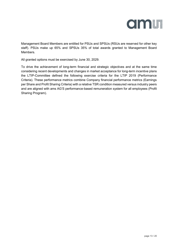

Management Board Members are entitled for PSUs and SPSUs (RSUs are reserved for other key staff). PSUs make up 65% and SPSUs 35% of total awards granted to Management Board **Members** 

All granted options must be exercised by June 30, 2029.

To drive the achievement of long-term financial and strategic objectives and at the same time considering recent developments and changes in market acceptance for long-term incentive plans the LTIP-Committee defined the following exercise criteria for the LTIP 2019 (Performance Criteria). These performance metrics combine Company financial performance metrics (Earnings per Share and Profit Sharing Criteria) with a relative TSR condition measured versus industry peers and are aligned with ams AG'S performance-based remuneration system for all employees (Profit Sharing Program).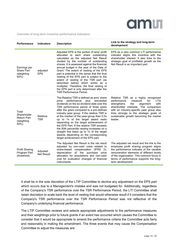

Overview of long-term incentive performance indicators

| Performance                                                      | <b>Indicators</b>             | <b>Description</b>                                                                                                                                                                                                                                                                                                                                                                                                                                                                                                                                                                                                               | Link to the strategy and long-term<br>development                                                                                                                                                                                                                                                              |
|------------------------------------------------------------------|-------------------------------|----------------------------------------------------------------------------------------------------------------------------------------------------------------------------------------------------------------------------------------------------------------------------------------------------------------------------------------------------------------------------------------------------------------------------------------------------------------------------------------------------------------------------------------------------------------------------------------------------------------------------------|----------------------------------------------------------------------------------------------------------------------------------------------------------------------------------------------------------------------------------------------------------------------------------------------------------------|
| Earnings per<br><b>Share Part</b><br>(weighting<br>50%)          | adjusted<br><b>EPS</b>        | Adjusted EPS is the portion of ams' profit<br>allocated to each share outstanding<br>calculated as the adjusted Net Result<br>divided by the number of outstanding<br>shares. It is assessed against the financial<br>annual budget in the year of the Date of<br>Grant. The extent of vesting of the EPS<br>part is potential in the sense that the final<br>vesting of the EPS part is subject to the<br>extent of vesting of the TSR part (as<br>described below) which works as a<br>multiplier. Therefore, the final vesting of<br>the EPS part is only determined after the<br><b>TSR Performance Period.</b>              | EPS as a very common LTI performance<br>indicator aligns this incentive with the<br>shareholder interest. It also links to the<br>strategic goal of profitable growth as the<br>Net Result is an important part.                                                                                               |
| Total<br>Shareholder<br><b>Return Part</b><br>(weighting<br>50%) | Relative<br><b>TSR</b>        | The Relative TSR is defined as ams' share<br>performance<br>price<br>plus<br>reinvested<br>dividends on the ex-dividend date over the<br>TSR performance period of three years<br>after the grant compared to a pre-defined<br>industry peer group. If the relative TSR is<br>at the median of the peer-group then 0,5x<br>up to 1x of the target award vests<br>depending on the target achievement of<br>the EPS Part. If the relative TSR exceeds<br>the 50th percentile vesting increases on a<br>straight line basis up to 1x of the target<br>awards depending on the corresponding<br>target achievement of the EPS part. | Relative TSR as a highly recognized<br>performance<br>for<br>LTIs<br>measure<br>strengthens<br>alignment<br>with<br>the<br>shareholder interests. The comparison<br>with an industry-specific peer group also<br>links strongly to the strategic goals of<br>sustainable growth becoming the market<br>leader. |
| <b>Profit Sharing</b><br>Program Part<br>(threshold)             | Adjusted<br><b>Net Result</b> | The Adjusted Net Result is the net result<br>adjusted by non-cash costs related to<br>share-based compensation (IFRS 2),<br>of the purchase price<br>depreciation<br>allocation for acquisitions and non-cash<br>cost for evaluation changes of financial<br>instruments.                                                                                                                                                                                                                                                                                                                                                        | The adjusted net result and the link to the<br>employee profit sharing program aligns<br>the performance indicator of the variable<br>remuneration elements of different levels<br>of the organization. This common focus in<br>terms of performance supports the long-<br>term development.                   |

It shall be in the sole discretion of the LTIP Committee to decline any adjustment on the EPS part which occurs due to a Management's mistake and was not budgeted for. Additionally, regardless of the Company's TSR performance over the TSR Performance Period, the LTI Committee shall retain discretion to scale back the level of vesting that would otherwise result if it considers that the Company's TSR performance over the TSR Performance Period was not reflective of the Company's underlying financial performance.

The LTIP Committee reviews and selects appropriate adjustments to the performance measures and their weightings prior to future grants if an event has occurred which causes the Committee to consider that it would be appropriate to amend the performance criteria the Committee acts fairly and reasonably in making the amendment. The three events that may cause the Compensation Committee to adjust the measures are: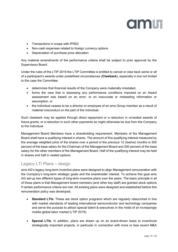

- Transactions in scope with IFRS2
- Non-cash expenses related to foreign currency options
- Depreciation of purchase price allocation

Any material amendments of the performance criteria shall be subject to prior approval by the Supervisory Board.

Under the rules of the LTIP 2019 the LTIP Committee is entitled to cancel or claw back some or all of a participant's awards under predefined circumstances (**Clawback**), especially in but not limited to the case the Committee

- determines that financial results of the Company were materially misstated,
- forms the view that in assessing any performance conditions imposed on an Award assessment was based on an error, or on inaccurate or misleading information or assumption, or
- the individual ceases to be a director or employee of an ams Group member as a result of material misconduct on the part of the individual.

Such clawback may be applied through direct repayment or a reduction in unvested awards of future grants, or a reduction in such other payments as might otherwise be due from the Company to the individual.

Management Board Members have a shareholding requirement. Members of the Management Board shall have a qualifying interest in shares. The amount of this qualifying interest measured by the average weighted price of the shares over a period of the previous 12 (twelve) months is 300 percent of the base salary for the Chairman of the Management Board and 200 percent of the base salary for the other members of the Management Board. Half of the qualifying interest may be held in shares and half in vested options.

#### Legacy LTI Plans – design

ams AG's legacy long-term incentive plans were designed to align Management remuneration with the Company's long-term strategic goals and the shareholder interest. To achieve this goal ams AG set-up two different types of long-term incentive plans over the years. The basic principle in all of those plans is that Management board members (and other key staff) are granted stock options if certain performance criteria are met. All existing plans were designed and established before this remuneration policy was developed.

- **Standard LTIs:** These are stock option programs which are regularly relaunched in line with market standards of leading international semiconductor and technology companies and serve the purpose to attract special talent & executives in the midst of an increasingly mobile global labor market (LTIP 2019).
- **Special LTIs:** In addition, plans are drawn up on an event-driven basis to incentivize strategically important projects, in particular in connection with more or less recent M&A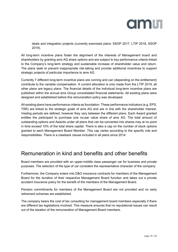

deals and integration projects (currently exercised plans: SSOP 2017, LTIP 2018, SSOP 2019).

All long-term incentive plans foster the alignment of the interests of Management board and shareholders by granting ams AG share options and are subject to key performance criteria linked to the Company's long-term strategy and sustainable increase of shareholder value and return. The plans seek to prevent inappropriate risk-taking and provide additional incentives to support strategic projects of particular importance to ams AG.

Currently 7 different long-term incentive plans are running and can (depending on the entitlement) contribute to the variable compensation. A current allocation is only made from the LTIP 2019, all other plans are legacy plans. The financial details of the individual long-term incentive plans are published within the annual ams Group consolidated financial statements. All existing plans were designed and established before this remuneration policy was developed.

All existing plans have performance criteria as foundation. These performance indicators (e.g. EPS, TSR) are linked to the strategic goals of ams AG and are in line with the shareholder interest. Vesting periods are defined, however they vary between the different plans. Each Award granted entitles the participant to purchase one no-par value share of ams AG. The total amount of outstanding options and Awards under all plans that can be converted into shares may at no point in time exceed 10% of the total share capital. There is also a cap on the number of stock options granted to each Management Board Member. This cap varies according to the specific role and responsibilities. There is a clawback clause included in all plans since 2014.

## Remuneration in kind and benefits and other benefits

Board members are provided with an upper-middle class passenger car for business and private purposes. The selection of the type of car considers the representative character of the company.

Furthermore, the Company enters into D&O insurance contracts for members of the Management Board for the duration of their respective Management Board function and takes out a private accident insurance policy for the benefit of the members of the Management Board.

Pension commitments for members of the Management Board are not provided and no early retirement schemes are established.

The company bears the cost of tax consulting for management board members especially if there are different tax legislations involved. This measure ensures that no reputational issues can result out of the taxation of the remuneration of Management Board members.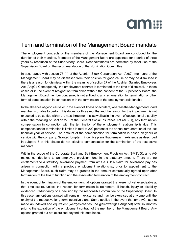

# Term and termination of the Management Board mandate

The employment contracts of the members of the Management Board are concluded for the duration of their mandate. Members of the Management Board are appointed for a period of three years by resolution of the Supervisory Board. Reappointments are permitted by resolution of the Supervisory Board on the recommendation of the Nomination Committee.

In accordance with section 75 (4) of the Austrian Stock Corporation Act (AktG), members of the Management Board may be dismissed from their position for good cause or may be dismissed if there is a reason for dismissal within the meaning of section 27 of the Austrian Salaried Employees Act (AngG). Consequently, the employment contract is terminated at the time of dismissal. In these cases or in the event of resignation from office without the consent of the Supervisory Board, the Management Board member concerned is not entitled to any remuneration for termination or other form of compensation in connection with the termination of the employment relationship.

In the absence of good cause or in the event of illness or accident, whereas the Management Board member is unable to perform his duties for three months and the reason for the impediment is not expected to be settled within the next three months, as well as in the event of occupational disability within the meaning of Section 273 of the General Social Insurance Act (ASVG), any termination compensation in connection with the termination of the employment relationship is due. This compensation for termination is limited in total to 200 percent of the annual remuneration of the last financial year of service. The amount of the compensation for termination is based on years of service with the company. Granted long-term incentive plans that remain in existence as described in subpara 5 of this clause do not stipulate compensation for the termination of the respective mandate.

Within the scope of the Corporate Staff and Self-Employment Provision Act (BMSVG), ams AG makes contributions to an employee provision fund in the statutory amount. There are no entitlements to a statutory severance payment from ams AG. If a claim for severance pay has arisen in connection with a previous employment relationship, prior to appointment to the Management Board, such claim may be granted in the amount contractually agreed upon after termination of the board function and the associated termination of the employment contract.

In the event of termination of the employment, all options granted that were not yet exercisable at that time expire, unless the reason for termination is retirement, ill health, injury or disability evidenced, redundancy or a decision by the responsible committee of the Supervisory Board. In this case, any options granted will remain in existence and may be exercised at any time until the expiry of the respective long-term incentive plans. Same applies in the event that ams AG has not made an indexed and equivalent (wertgesichertes und gleichwertiges Angebot) offer six months prior to the expiration of the employment contract of the member of the Management Board. Any options granted but not exercised beyond this date lapse.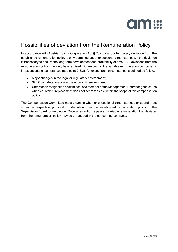

# Possibilities of deviation from the Remuneration Policy

In accordance with Austrian Stock Corporation Act § 78a para. 8 a temporary deviation from the established remuneration policy is only permitted under exceptional circumstances, if the deviation is necessary to ensure the long-term development and profitability of ams AG. Deviations from the remuneration policy may only be exercised with respect to the variable remuneration components in exceptional circumstances (see point 2.3.2). An exceptional circumstance is defined as follows:

- Major changes in the legal or regulatory environment;
- Significant deterioration in the economic environment;
- Unforeseen resignation or dismissal of a member of the Management Board for good cause when equivalent replacement does not seem feasible within the scope of this compensation policy.

The Compensation Committee must examine whether exceptional circumstances exist and must submit a respective proposal for deviation from the established remuneration policy to the Supervisory Board for resolution. Once a resolution is passed, variable remuneration that deviates from the remuneration policy may be embedded in the concerning contracts.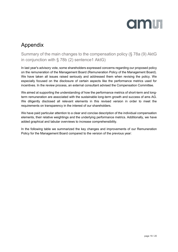

# Appendix

Summary of the main changes to the compensation policy (§ 78a (9) AktG in conjunction with § 78b (2) sentence1 AktG)

In last year's advisory vote, some shareholders expressed concerns regarding our proposed policy on the remuneration of the Management Board (Remuneration Policy of the Management Board). We have taken all issues raised seriously and addressed them when revising the policy. We especially focused on the disclosure of certain aspects like the performance metrics used for incentives. In the review process, an external consultant advised the Compensation Committee.

We aimed at supporting the understanding of how the performance metrics of short-term and longterm remuneration are associated with the sustainable long-term growth and success of ams AG. We diligently disclosed all relevant elements in this revised version in order to meet the requirements on transparency in the interest of our shareholders.

We have paid particular attention to a clear and concise description of the individual compensation elements, their relative weightings and the underlying performance metrics. Additionally, we have added graphical and tabular overviews to increase comprehensibility.

In the following table we summarized the key changes and improvements of our Remuneration Policy for the Management Board compared to the version of the previous year: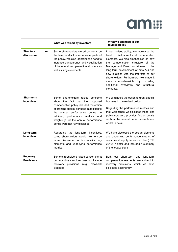

|                                      |     | What was raised by investors                                                                                                                                                                                                                                                                                                 | What we changed in our<br>revised policy                                                                                                                                                                                                                                                                                                                                                                                                 |  |
|--------------------------------------|-----|------------------------------------------------------------------------------------------------------------------------------------------------------------------------------------------------------------------------------------------------------------------------------------------------------------------------------|------------------------------------------------------------------------------------------------------------------------------------------------------------------------------------------------------------------------------------------------------------------------------------------------------------------------------------------------------------------------------------------------------------------------------------------|--|
| <b>Structure</b><br>disclosure       | and | Some shareholders raised concerns on<br>the level of disclosure in some parts of<br>the policy. We also identified the need to<br>increase transparency and visualization<br>of the overall compensation structure as<br>well as single elements.                                                                            | In our revised policy, we increased the<br>level of disclosure for all remuneration<br>elements. We also emphasized on how<br>the compensation structure of the<br>Management Board contributes to the<br>long-term development of ams AG and<br>how it aligns with the interests of our<br>shareholders. Furthermore, we made it<br>more comprehensible<br>by<br>providing<br>additional<br>overviews<br>structural<br>and<br>elements. |  |
| Short-term<br><b>Incentives</b>      |     | shareholders raised concerns<br>Some<br>about the fact that the<br>proposed<br>compensation policy included the option<br>of granting special bonuses in addition to<br>the annual performance bonus. In<br>addition, performance metrics<br>and<br>weightings for the annual performance<br>bonus were not fully disclosed. | We eliminated the option to grant special<br>bonuses in the revised policy.<br>Regarding the performance metrics and<br>their weightings, we disclosed those. The<br>policy now also provides further details<br>on how the annual performance bonus<br>works in detail.                                                                                                                                                                 |  |
| Long-term<br><b>Incentives</b>       |     | Regarding the long-term incentives,<br>some shareholders would like to see<br>more disclosure on functionality, key<br>elements and underlying performance<br>metrics.                                                                                                                                                       | We have disclosed the design elements<br>and underlying performance metrics of<br>our current equity incentive plan (LTIP<br>2019) in detail and included a summary<br>of the legacy plans.                                                                                                                                                                                                                                              |  |
| <b>Recovery</b><br><b>Provisions</b> |     | Some shareholders raised concerns that<br>our incentive structure does not include<br>provisions<br>recovery<br>(e.g.<br>clawback<br>clauses).                                                                                                                                                                               | Both our short-term and long-term<br>compensation elements are subject to<br>recovery provisions, which we have<br>disclosed accordingly.                                                                                                                                                                                                                                                                                                |  |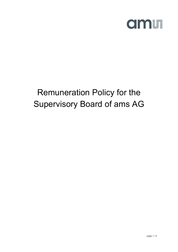

# Remuneration Policy for the Supervisory Board of ams AG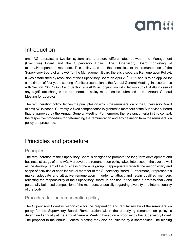

# Introduction

ams AG operates a two-tier system and therefore differentiates between the Management (Executive) Board and the Supervisory Board. The Supervisory Board consisting of external/independent members. This policy sets out the principles for the remuneration of the Supervisory Board of ams AG (for the Management Board there is a separate Remuneration Policy). It was established by resolution of the Supervisory Board on April 23<sup>rd</sup> 2021 and is to be applied for a maximum of four years starting after its presentation to the Annual General Meeting. In accordance with Section 78b (1) AktG and Section 98a AktG in conjunction with Section 78b (1) AktG in case of any significant changes the remuneration policy must also be submitted to the Annual General Meeting for approval.

The remuneration policy defines the principles on which the remuneration of the Supervisory Board of ams AG is based. Currently, a fixed compensation is granted to members of the Supervisory Board that is approved by the Annual General Meeting. Furthermore, the relevant criteria in this context, the respective procedure for determining the remuneration and any deviation from the remuneration policy are presented.

# Principles and procedure

#### **Principles**

The remuneration of the Supervisory Board is designed to promote the long-term development and business strategy of ams AG. Moreover, the remuneration policy takes into account the size as well as the development of the business of the ams group. It appropriately reflects the responsibility and scope of activities of each individual member of the Supervisory Board. Furthermore, it represents a market adequate and attractive remuneration in order to attract and retain qualified members reflecting the responsibility of the Supervisory Board. In addition, it facilitates a professionally and personally balanced composition of the members, especially regarding diversity and internationality of the body.

#### Procedure for the remuneration policy

The Supervisory Board is responsible for the preparation and regular review of the remuneration policy for the Supervisory Board. Remuneration within the underlying remuneration policy is determined annually at the Annual General Meeting based on a proposal by the Supervisory Board. The proposal to the Annual General Meeting may also be initiated by a shareholder. The binding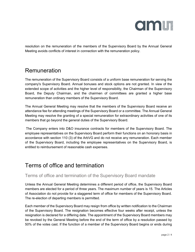

resolution on the remuneration of the members of the Supervisory Board by the Annual General Meeting avoids conflicts of interest in connection with the remuneration policy.

### Remuneration

The remuneration of the Supervisory Board consists of a uniform base remuneration for serving the company's Supervisory Board. Annual bonuses and stock options are not granted. In view of the extended scope of activities and the higher level of responsibility, the Chairman of the Supervisory Board, the Deputy Chairman, and the chairmen of committees are granted a higher base remuneration than ordinary members of the Supervisory Board.

The Annual General Meeting may resolve that the members of the Supervisory Board receive an attendance fee for attending meetings of the Supervisory Board or a committee. The Annual General Meeting may resolve the granting of a special remuneration for extraordinary activities of one of its members that go beyond the general duties of the Supervisory Board.

The Company enters into D&O insurance contracts for members of the Supervisory Board. The employee representatives on the Supervisory Board perform their functions on an honorary basis in accordance with section 110 (3) of the ArbVG and do not receive any remuneration. Each member of the Supervisory Board, including the employee representatives on the Supervisory Board, is entitled to reimbursement of reasonable cash expenses.

### Terms of office and termination

#### Terms of office and termination of the Supervisory Board mandate

Unless the Annual General Meeting determines a different period of office, the Supervisory Board members are elected for a period of three years. The maximum number of years is 15. The Articles of Association do not provide for a staggered term of office for members of the Supervisory Board. The re-election of departing members is permitted.

Each member of the Supervisory Board may resign from office by written notification to the Chairman of the Supervisory Board. The resignation becomes effective four weeks after receipt, unless the resignation is declared for a differing date. The appointment of the Supervisory Board members may be revoked by the General Meeting before the end of the term of office by a resolution passed by 50% of the votes cast. If the function of a member of the Supervisory Board begins or ends during